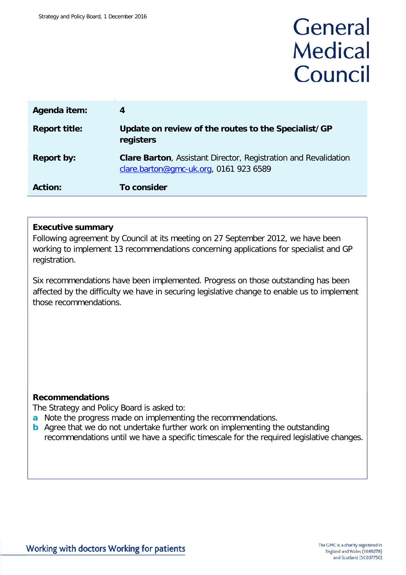# General **Medical** Council

| Agenda item:         | 4                                                                                                         |
|----------------------|-----------------------------------------------------------------------------------------------------------|
| <b>Report title:</b> | Update on review of the routes to the Specialist/GP<br>registers                                          |
| <b>Report by:</b>    | Clare Barton, Assistant Director, Registration and Revalidation<br>clare.barton@gmc-uk.org, 0161 923 6589 |
| <b>Action:</b>       | To consider                                                                                               |

#### **Executive summary**

Following agreement by Council at its meeting on 27 September 2012, we have been working to implement 13 recommendations concerning applications for specialist and GP registration.

Six recommendations have been implemented. Progress on those outstanding has been affected by the difficulty we have in securing legislative change to enable us to implement those recommendations.

#### **Recommendations**

The Strategy and Policy Board is asked to:

- **a** Note the progress made on implementing the recommendations.
- **b** Agree that we do not undertake further work on implementing the outstanding recommendations until we have a specific timescale for the required legislative changes.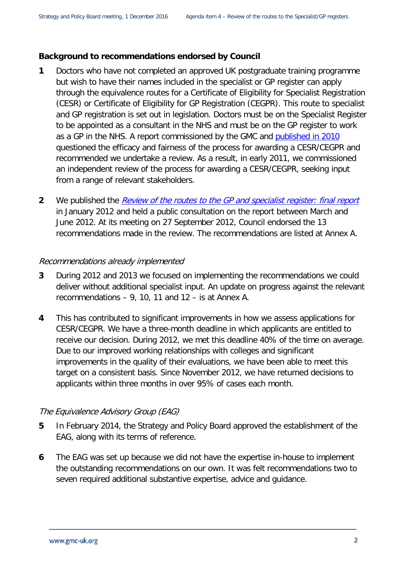#### **Background to recommendations endorsed by Council**

- **1** Doctors who have not completed an approved UK postgraduate training programme but wish to have their names included in the specialist or GP register can apply through the equivalence routes for a Certificate of Eligibility for Specialist Registration (CESR) or Certificate of Eligibility for GP Registration (CEGPR). This route to specialist and GP registration is set out in legislation. Doctors must be on the Specialist Register to be appointed as a consultant in the NHS and must be on the GP register to work as a GP in the NHS. A report commissioned by the GMC and [published in 2010](http://www.gmc-uk.org/5___Draft_Report_of_the_Patel_Review___Annex_A.pdf_36035222.pdf) questioned the efficacy and fairness of the process for awarding a CESR/CEGPR and recommended we undertake a review. As a result, in early 2011, we commissioned an independent review of the process for awarding a CESR/CEGPR, seeking input from a range of relevant stakeholders.
- **2** We published the [Review of the routes to the GP and specialist register: final report](http://www.gmc-uk.org/Routes_to_the_GP_and_Specialist_Register__Final_Report.pdf_48195178.pdf) in January 2012 and held a public consultation on the report between March and June 2012. At its meeting on 27 September 2012, Council endorsed the 13 recommendations made in the review. The recommendations are listed at Annex A.

#### Recommendations already implemented

- **3** During 2012 and 2013 we focused on implementing the recommendations we could deliver without additional specialist input. An update on progress against the relevant recommendations – 9, 10, 11 and 12 – is at Annex A.
- **4** This has contributed to significant improvements in how we assess applications for CESR/CEGPR. We have a three-month deadline in which applicants are entitled to receive our decision. During 2012, we met this deadline 40% of the time on average. Due to our improved working relationships with colleges and significant improvements in the quality of their evaluations, we have been able to meet this target on a consistent basis. Since November 2012, we have returned decisions to applicants within three months in over 95% of cases each month.

#### The Equivalence Advisory Group (EAG)

- **5** In February 2014, the Strategy and Policy Board approved the establishment of the EAG, along with its terms of reference.
- **6** The EAG was set up because we did not have the expertise in-house to implement the outstanding recommendations on our own. It was felt recommendations two to seven required additional substantive expertise, advice and guidance.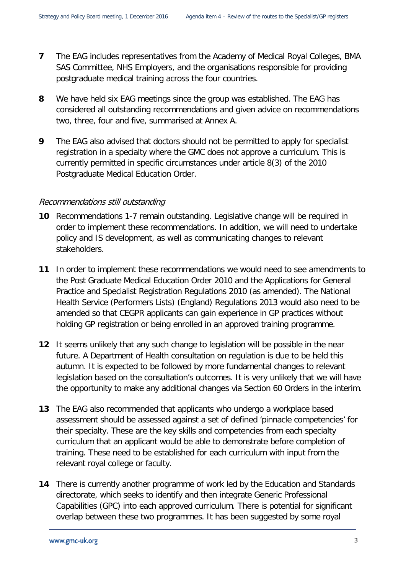- **7** The EAG includes representatives from the Academy of Medical Royal Colleges, BMA SAS Committee, NHS Employers, and the organisations responsible for providing postgraduate medical training across the four countries.
- **8** We have held six EAG meetings since the group was established. The EAG has considered all outstanding recommendations and given advice on recommendations two, three, four and five, summarised at Annex A.
- **9** The EAG also advised that doctors should not be permitted to apply for specialist registration in a specialty where the GMC does not approve a curriculum. This is currently permitted in specific circumstances under article 8(3) of the 2010 Postgraduate Medical Education Order.

#### Recommendations still outstanding

- **10** Recommendations 1-7 remain outstanding. Legislative change will be required in order to implement these recommendations. In addition, we will need to undertake policy and IS development, as well as communicating changes to relevant stakeholders.
- **11** In order to implement these recommendations we would need to see amendments to the Post Graduate Medical Education Order 2010 and the Applications for General Practice and Specialist Registration Regulations 2010 (as amended). The National Health Service (Performers Lists) (England) Regulations 2013 would also need to be amended so that CEGPR applicants can gain experience in GP practices without holding GP registration or being enrolled in an approved training programme.
- **12** It seems unlikely that any such change to legislation will be possible in the near future. A Department of Health consultation on regulation is due to be held this autumn. It is expected to be followed by more fundamental changes to relevant legislation based on the consultation's outcomes. It is very unlikely that we will have the opportunity to make any additional changes via Section 60 Orders in the interim.
- **13** The EAG also recommended that applicants who undergo a workplace based assessment should be assessed against a set of defined 'pinnacle competencies' for their specialty. These are the key skills and competencies from each specialty curriculum that an applicant would be able to demonstrate before completion of training. These need to be established for each curriculum with input from the relevant royal college or faculty.
- **14** There is currently another programme of work led by the Education and Standards directorate, which seeks to identify and then integrate Generic Professional Capabilities (GPC) into each approved curriculum. There is potential for significant overlap between these two programmes. It has been suggested by some royal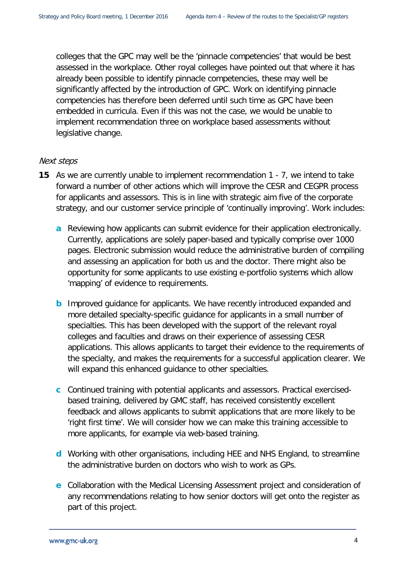colleges that the GPC may well be the 'pinnacle competencies' that would be best assessed in the workplace. Other royal colleges have pointed out that where it has already been possible to identify pinnacle competencies, these may well be significantly affected by the introduction of GPC. Work on identifying pinnacle competencies has therefore been deferred until such time as GPC have been embedded in curricula. Even if this was not the case, we would be unable to implement recommendation three on workplace based assessments without legislative change.

#### Next steps

- **15** As we are currently unable to implement recommendation 1 7, we intend to take forward a number of other actions which will improve the CESR and CEGPR process for applicants and assessors. This is in line with strategic aim five of the corporate strategy, and our customer service principle of 'continually improving'. Work includes:
	- **a** Reviewing how applicants can submit evidence for their application electronically. Currently, applications are solely paper-based and typically comprise over 1000 pages. Electronic submission would reduce the administrative burden of compiling and assessing an application for both us and the doctor. There might also be opportunity for some applicants to use existing e-portfolio systems which allow 'mapping' of evidence to requirements.
	- **b** Improved guidance for applicants. We have recently introduced expanded and more detailed specialty-specific guidance for applicants in a small number of specialties. This has been developed with the support of the relevant royal colleges and faculties and draws on their experience of assessing CESR applications. This allows applicants to target their evidence to the requirements of the specialty, and makes the requirements for a successful application clearer. We will expand this enhanced guidance to other specialties.
	- **c** Continued training with potential applicants and assessors. Practical exercisedbased training, delivered by GMC staff, has received consistently excellent feedback and allows applicants to submit applications that are more likely to be 'right first time'. We will consider how we can make this training accessible to more applicants, for example via web-based training.
	- **d** Working with other organisations, including HEE and NHS England, to streamline the administrative burden on doctors who wish to work as GPs.
	- **e** Collaboration with the Medical Licensing Assessment project and consideration of any recommendations relating to how senior doctors will get onto the register as part of this project.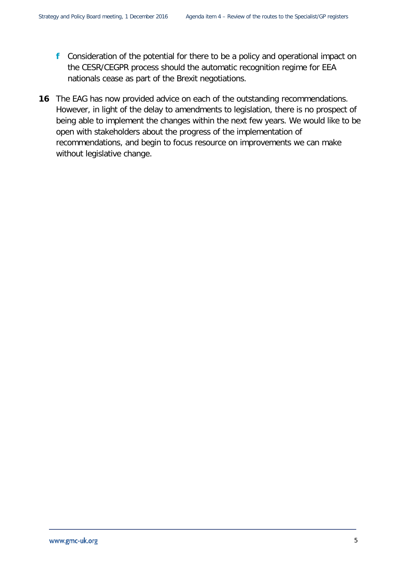- **f** Consideration of the potential for there to be a policy and operational impact on the CESR/CEGPR process should the automatic recognition regime for EEA nationals cease as part of the Brexit negotiations.
- **16** The EAG has now provided advice on each of the outstanding recommendations. However, in light of the delay to amendments to legislation, there is no prospect of being able to implement the changes within the next few years. We would like to be open with stakeholders about the progress of the implementation of recommendations, and begin to focus resource on improvements we can make without legislative change.

5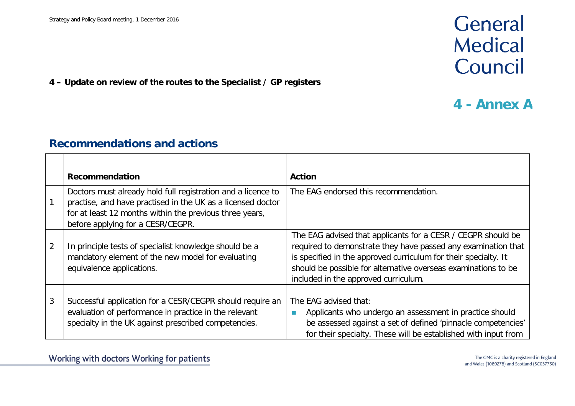## General Medical Council

#### **4 – Update on review of the routes to the Specialist / GP registers**

### **4 - Annex A**

### **Recommendations and actions**

|                | Recommendation                                                                                                                                                                                                              | <b>Action</b>                                                                                                                                                                                                                                                                                              |
|----------------|-----------------------------------------------------------------------------------------------------------------------------------------------------------------------------------------------------------------------------|------------------------------------------------------------------------------------------------------------------------------------------------------------------------------------------------------------------------------------------------------------------------------------------------------------|
|                | Doctors must already hold full registration and a licence to<br>practise, and have practised in the UK as a licensed doctor<br>for at least 12 months within the previous three years,<br>before applying for a CESR/CEGPR. | The EAG endorsed this recommendation.                                                                                                                                                                                                                                                                      |
| $\overline{2}$ | In principle tests of specialist knowledge should be a<br>mandatory element of the new model for evaluating<br>equivalence applications.                                                                                    | The EAG advised that applicants for a CESR / CEGPR should be<br>required to demonstrate they have passed any examination that<br>is specified in the approved curriculum for their specialty. It<br>should be possible for alternative overseas examinations to be<br>included in the approved curriculum. |
| 3              | Successful application for a CESR/CEGPR should require an<br>evaluation of performance in practice in the relevant<br>specialty in the UK against prescribed competencies.                                                  | The EAG advised that:<br>Applicants who undergo an assessment in practice should<br>L.<br>be assessed against a set of defined 'pinnacle competencies'<br>for their specialty. These will be established with input from                                                                                   |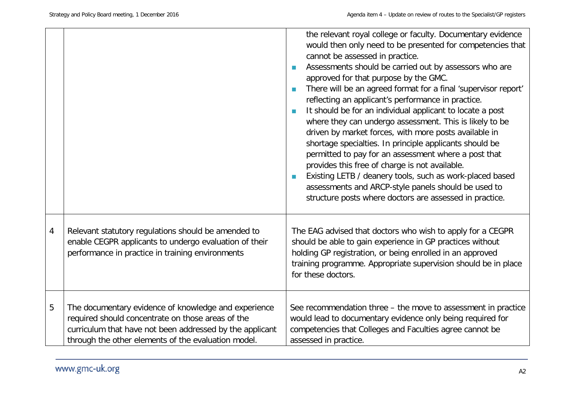|   |                                                                                                                                                                                                                              | the relevant royal college or faculty. Documentary evidence<br>would then only need to be presented for competencies that<br>cannot be assessed in practice.<br>Assessments should be carried out by assessors who are<br>×<br>approved for that purpose by the GMC.<br>There will be an agreed format for a final 'supervisor report'<br><b>In</b><br>reflecting an applicant's performance in practice.<br>It should be for an individual applicant to locate a post<br>$\mathcal{L}_{\mathcal{A}}$<br>where they can undergo assessment. This is likely to be<br>driven by market forces, with more posts available in<br>shortage specialties. In principle applicants should be<br>permitted to pay for an assessment where a post that<br>provides this free of charge is not available.<br>Existing LETB / deanery tools, such as work-placed based<br>assessments and ARCP-style panels should be used to<br>structure posts where doctors are assessed in practice. |
|---|------------------------------------------------------------------------------------------------------------------------------------------------------------------------------------------------------------------------------|------------------------------------------------------------------------------------------------------------------------------------------------------------------------------------------------------------------------------------------------------------------------------------------------------------------------------------------------------------------------------------------------------------------------------------------------------------------------------------------------------------------------------------------------------------------------------------------------------------------------------------------------------------------------------------------------------------------------------------------------------------------------------------------------------------------------------------------------------------------------------------------------------------------------------------------------------------------------------|
| 4 | Relevant statutory regulations should be amended to<br>enable CEGPR applicants to undergo evaluation of their<br>performance in practice in training environments                                                            | The EAG advised that doctors who wish to apply for a CEGPR<br>should be able to gain experience in GP practices without<br>holding GP registration, or being enrolled in an approved<br>training programme. Appropriate supervision should be in place<br>for these doctors.                                                                                                                                                                                                                                                                                                                                                                                                                                                                                                                                                                                                                                                                                                 |
| 5 | The documentary evidence of knowledge and experience<br>required should concentrate on those areas of the<br>curriculum that have not been addressed by the applicant<br>through the other elements of the evaluation model. | See recommendation three - the move to assessment in practice<br>would lead to documentary evidence only being required for<br>competencies that Colleges and Faculties agree cannot be<br>assessed in practice.                                                                                                                                                                                                                                                                                                                                                                                                                                                                                                                                                                                                                                                                                                                                                             |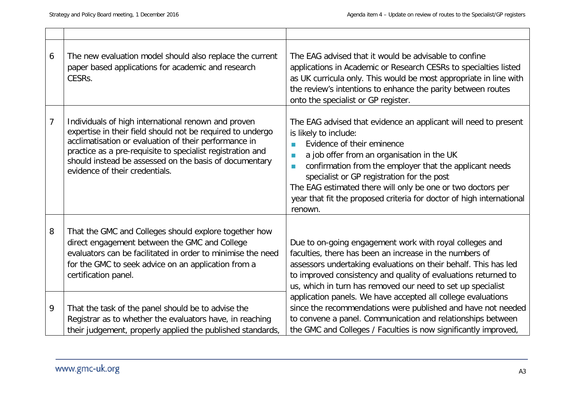| 6              | The new evaluation model should also replace the current<br>paper based applications for academic and research<br>CESRs.                                                                                                                                                                                                             | The EAG advised that it would be advisable to confine<br>applications in Academic or Research CESRs to specialties listed<br>as UK curricula only. This would be most appropriate in line with<br>the review's intentions to enhance the parity between routes<br>onto the specialist or GP register.                                                                                                                                                                                          |
|----------------|--------------------------------------------------------------------------------------------------------------------------------------------------------------------------------------------------------------------------------------------------------------------------------------------------------------------------------------|------------------------------------------------------------------------------------------------------------------------------------------------------------------------------------------------------------------------------------------------------------------------------------------------------------------------------------------------------------------------------------------------------------------------------------------------------------------------------------------------|
| $\overline{7}$ | Individuals of high international renown and proven<br>expertise in their field should not be required to undergo<br>acclimatisation or evaluation of their performance in<br>practice as a pre-requisite to specialist registration and<br>should instead be assessed on the basis of documentary<br>evidence of their credentials. | The EAG advised that evidence an applicant will need to present<br>is likely to include:<br>Evidence of their eminence<br><b>The State</b><br>a job offer from an organisation in the UK<br><b>I</b><br>confirmation from the employer that the applicant needs<br>$\mathcal{L}_{\mathcal{A}}$<br>specialist or GP registration for the post<br>The EAG estimated there will only be one or two doctors per<br>year that fit the proposed criteria for doctor of high international<br>renown. |
| 8              | That the GMC and Colleges should explore together how<br>direct engagement between the GMC and College<br>evaluators can be facilitated in order to minimise the need<br>for the GMC to seek advice on an application from a<br>certification panel.                                                                                 | Due to on-going engagement work with royal colleges and<br>faculties, there has been an increase in the numbers of<br>assessors undertaking evaluations on their behalf. This has led<br>to improved consistency and quality of evaluations returned to<br>us, which in turn has removed our need to set up specialist                                                                                                                                                                         |
| 9              | That the task of the panel should be to advise the<br>Registrar as to whether the evaluators have, in reaching<br>their judgement, properly applied the published standards,                                                                                                                                                         | application panels. We have accepted all college evaluations<br>since the recommendations were published and have not needed<br>to convene a panel. Communication and relationships between<br>the GMC and Colleges / Faculties is now significantly improved,                                                                                                                                                                                                                                 |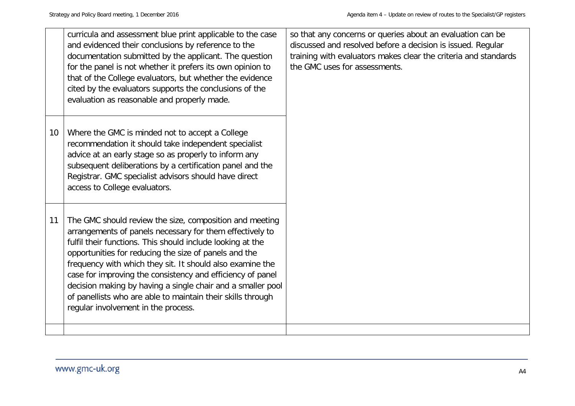|    | curricula and assessment blue print applicable to the case<br>and evidenced their conclusions by reference to the<br>documentation submitted by the applicant. The question<br>for the panel is not whether it prefers its own opinion to<br>that of the College evaluators, but whether the evidence<br>cited by the evaluators supports the conclusions of the<br>evaluation as reasonable and properly made.                                                                                                                            | so that any concerns or queries about an evaluation can be<br>discussed and resolved before a decision is issued. Regular<br>training with evaluators makes clear the criteria and standards<br>the GMC uses for assessments. |
|----|--------------------------------------------------------------------------------------------------------------------------------------------------------------------------------------------------------------------------------------------------------------------------------------------------------------------------------------------------------------------------------------------------------------------------------------------------------------------------------------------------------------------------------------------|-------------------------------------------------------------------------------------------------------------------------------------------------------------------------------------------------------------------------------|
| 10 | Where the GMC is minded not to accept a College<br>recommendation it should take independent specialist<br>advice at an early stage so as properly to inform any<br>subsequent deliberations by a certification panel and the<br>Registrar. GMC specialist advisors should have direct<br>access to College evaluators.                                                                                                                                                                                                                    |                                                                                                                                                                                                                               |
| 11 | The GMC should review the size, composition and meeting<br>arrangements of panels necessary for them effectively to<br>fulfil their functions. This should include looking at the<br>opportunities for reducing the size of panels and the<br>frequency with which they sit. It should also examine the<br>case for improving the consistency and efficiency of panel<br>decision making by having a single chair and a smaller pool<br>of panellists who are able to maintain their skills through<br>regular involvement in the process. |                                                                                                                                                                                                                               |